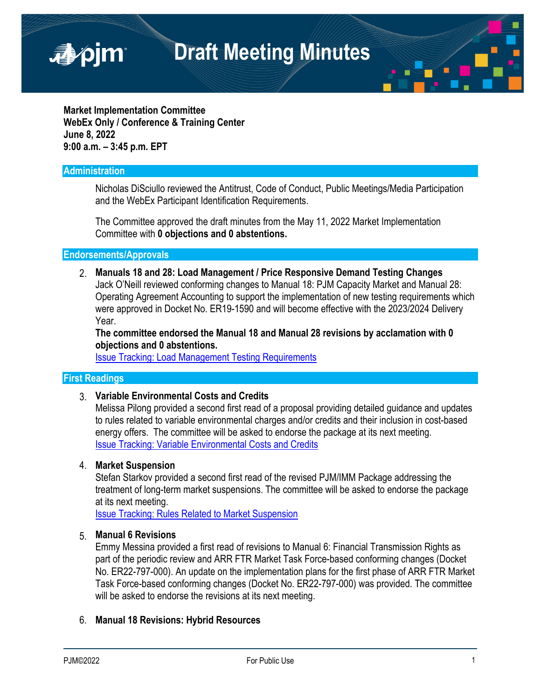

**Market Implementation Committee WebEx Only / Conference & Training Center June 8, 2022 9:00 a.m. – 3:45 p.m. EPT**

#### **Administration**

Nicholas DiSciullo reviewed the Antitrust, Code of Conduct, Public Meetings/Media Participation and the WebEx Participant Identification Requirements.

The Committee approved the draft minutes from the May 11, 2022 Market Implementation Committee with **0 objections and 0 abstentions.**

**Endorsements/Approvals** 

2. **Manuals 18 and 28: Load Management / Price Responsive Demand Testing Changes**  Jack O'Neill reviewed conforming changes to Manual 18: PJM Capacity Market and Manual 28: Operating Agreement Accounting to support the implementation of new testing requirements which were approved in Docket No. ER19-1590 and will become effective with the 2023/2024 Delivery Year.

**The committee endorsed the Manual 18 and Manual 28 revisions by acclamation with 0 objections and 0 abstentions.** 

[Issue Tracking: Load Management Testing Requirements](https://www.pjm.com/committees-and-groups/issue-tracking/issue-tracking-details.aspx?Issue=51c7a25c-4ee6-42a5-a6d6-3ca46581e9a9)

#### **First Readings**

#### 3. **Variable Environmental Costs and Credits**

Melissa Pilong provided a second first read of a proposal providing detailed guidance and updates to rules related to variable environmental charges and/or credits and their inclusion in cost-based energy offers. The committee will be asked to endorse the package at its next meeting. [Issue Tracking: Variable Environmental Costs and Credits](https://www.pjm.com/committees-and-groups/issue-tracking/issue-tracking-details.aspx?Issue=c95724bc-c61d-4226-9772-ac411886523e)

#### 4. **Market Suspension**

Stefan Starkov provided a second first read of the revised PJM/IMM Package addressing the treatment of long-term market suspensions. The committee will be asked to endorse the package at its next meeting.

[Issue Tracking: Rules Related to Market Suspension](https://www.pjm.com/committees-and-groups/issue-tracking/issue-tracking-details.aspx?Issue=214df9c5-db87-4a02-84be-b917c118d6ed)

#### 5. **Manual 6 Revisions**

Emmy Messina provided a first read of revisions to Manual 6: Financial Transmission Rights as part of the periodic review and ARR FTR Market Task Force-based conforming changes (Docket No. ER22-797-000). An update on the implementation plans for the first phase of ARR FTR Market Task Force-based conforming changes (Docket No. ER22-797-000) was provided. The committee will be asked to endorse the revisions at its next meeting.

#### 6. **Manual 18 Revisions: Hybrid Resources**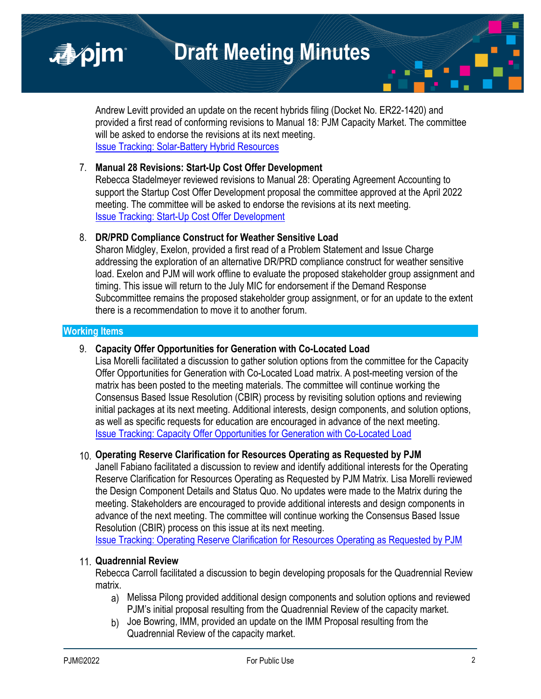

Andrew Levitt provided an update on the recent hybrids filing (Docket No. ER22-1420) and provided a first read of conforming revisions to Manual 18: PJM Capacity Market. The committee will be asked to endorse the revisions at its next meeting. [Issue Tracking: Solar-Battery Hybrid Resources](https://www.pjm.com/committees-and-groups/issue-tracking/issue-tracking-details.aspx?Issue=3423b18c-59c2-49dd-84c5-af42b1ba0256)

### 7. **Manual 28 Revisions: Start-Up Cost Offer Development**

Rebecca Stadelmeyer reviewed revisions to Manual 28: Operating Agreement Accounting to support the Startup Cost Offer Development proposal the committee approved at the April 2022 meeting. The committee will be asked to endorse the revisions at its next meeting. [Issue Tracking: Start-Up Cost Offer Development](https://www.pjm.com/committees-and-groups/issue-tracking/issue-tracking-details.aspx?Issue=46ced1bf-a450-4c80-9199-08ec2be2f4cb)

#### 8. **DR/PRD Compliance Construct for Weather Sensitive Load**

Sharon Midgley, Exelon, provided a first read of a Problem Statement and Issue Charge addressing the exploration of an alternative DR/PRD compliance construct for weather sensitive load. Exelon and PJM will work offline to evaluate the proposed stakeholder group assignment and timing. This issue will return to the July MIC for endorsement if the Demand Response Subcommittee remains the proposed stakeholder group assignment, or for an update to the extent there is a recommendation to move it to another forum.

### **Working Items**

#### 9. **Capacity Offer Opportunities for Generation with Co-Located Load**

Lisa Morelli facilitated a discussion to gather solution options from the committee for the Capacity Offer Opportunities for Generation with Co-Located Load matrix. A post-meeting version of the matrix has been posted to the meeting materials. The committee will continue working the Consensus Based Issue Resolution (CBIR) process by revisiting solution options and reviewing initial packages at its next meeting. Additional interests, design components, and solution options, as well as specific requests for education are encouraged in advance of the next meeting. [Issue Tracking: Capacity Offer Opportunities for Generation with Co-Located Load](https://www.pjm.com/committees-and-groups/issue-tracking/issue-tracking-details.aspx?Issue=6897c7e7-d8b7-438e-9e3f-b6099f9dd7ec)

#### 10. **Operating Reserve Clarification for Resources Operating as Requested by PJM**

Janell Fabiano facilitated a discussion to review and identify additional interests for the Operating Reserve Clarification for Resources Operating as Requested by PJM Matrix. Lisa Morelli reviewed the Design Component Details and Status Quo. No updates were made to the Matrix during the meeting. Stakeholders are encouraged to provide additional interests and design components in advance of the next meeting. The committee will continue working the Consensus Based Issue Resolution (CBIR) process on this issue at its next meeting.

[Issue Tracking: Operating Reserve Clarification for Resources Operating as Requested by PJM](https://www.pjm.com/committees-and-groups/issue-tracking/issue-tracking-details.aspx?Issue=6897c7e7-d8b7-438e-9e3f-b6099f9dd7ec)

#### 11. **Quadrennial Review**

Rebecca Carroll facilitated a discussion to begin developing proposals for the Quadrennial Review matrix.

- a) Melissa Pilong provided additional design components and solution options and reviewed PJM's initial proposal resulting from the Quadrennial Review of the capacity market.
- b) Joe Bowring, IMM, provided an update on the IMM Proposal resulting from the Quadrennial Review of the capacity market.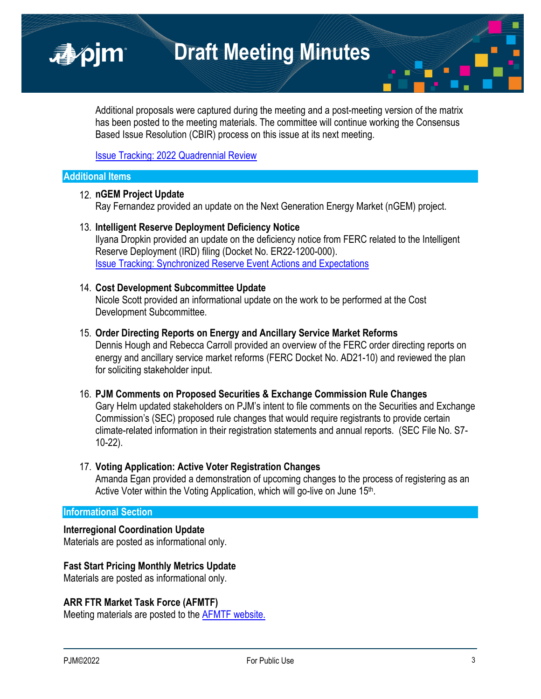

Additional proposals were captured during the meeting and a post-meeting version of the matrix has been posted to the meeting materials. The committee will continue working the Consensus Based Issue Resolution (CBIR) process on this issue at its next meeting.

[Issue Tracking: 2022 Quadrennial Review](https://www.pjm.com/committees-and-groups/issue-tracking/issue-tracking-details-non-stakeholder.aspx?Issue=8d764b81-1e26-4ed6-98ad-0b1db80ebb08)

#### **Additional Items**

■pim

### 12. **nGEM Project Update**

Ray Fernandez provided an update on the Next Generation Energy Market (nGEM) project.

13. **Intelligent Reserve Deployment Deficiency Notice** Ilyana Dropkin provided an update on the deficiency notice from FERC related to the Intelligent Reserve Deployment (IRD) filing (Docket No. ER22-1200-000). [Issue Tracking: Synchronized Reserve Event Actions and Expectations](https://pjm.com/committees-and-groups/issue-tracking/issue-tracking-details.aspx?Issue=88b492a5-1547-4558-a242-456d99b87a37)

#### 14. **Cost Development Subcommittee Update**

Nicole Scott provided an informational update on the work to be performed at the Cost Development Subcommittee.

#### 15. **Order Directing Reports on Energy and Ancillary Service Market Reforms**

Dennis Hough and Rebecca Carroll provided an overview of the FERC order directing reports on energy and ancillary service market reforms (FERC Docket No. AD21-10) and reviewed the plan for soliciting stakeholder input.

#### 16. **PJM Comments on Proposed Securities & Exchange Commission Rule Changes**

Gary Helm updated stakeholders on PJM's intent to file comments on the Securities and Exchange Commission's (SEC) proposed rule changes that would require registrants to provide certain climate-related information in their registration statements and annual reports. (SEC File No. S7- 10-22).

#### 17. **Voting Application: Active Voter Registration Changes**

Amanda Egan provided a demonstration of upcoming changes to the process of registering as an Active Voter within the Voting Application, which will go-live on June 15<sup>th</sup>.

### **Informational Section**

#### **Interregional Coordination Update**

Materials are posted as informational only.

#### **Fast Start Pricing Monthly Metrics Update**

Materials are posted as informational only.

### **ARR FTR Market Task Force (AFMTF)**

Meeting materials are posted to the [AFMTF website.](https://www.pjm.com/committees-and-groups/task-forces/afmtf)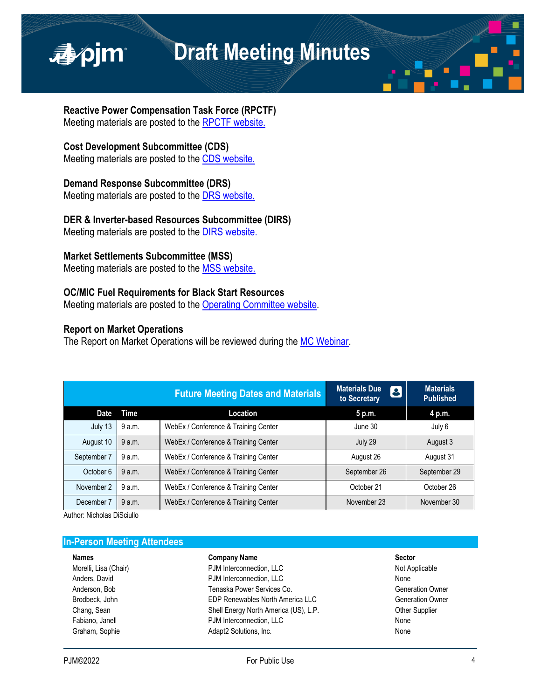

**Reactive Power Compensation Task Force (RPCTF)**

Meeting materials are posted to the [RPCTF website.](https://www.pjm.com/committees-and-groups/task-forces/rpctf)

### **Cost Development Subcommittee (CDS)**

Meeting materials are posted to the [CDS website.](https://www.pjm.com/committees-and-groups/subcommittees/cds)

**Demand Response Subcommittee (DRS)** Meeting materials are posted to the [DRS website.](http://www.pjm.com/committees-and-groups/subcommittees/drs.aspx)

**DER & Inverter-based Resources Subcommittee (DIRS)**

Meeting materials are posted to the [DIRS website.](https://www.pjm.com/committees-and-groups/subcommittees/dirs.aspx)

### **Market Settlements Subcommittee (MSS)**

Meeting materials are posted to the [MSS website](http://www.pjm.com/committees-and-groups/subcommittees/mss.aspx).

### **OC/MIC Fuel Requirements for Black Start Resources**

Meeting materials are posted to the [Operating Committee website.](https://www.pjm.com/committees-and-groups/committees/oc)

#### **Report on Market Operations**

The Report on Market Operations will be reviewed during the [MC Webinar.](http://www.pjm.com/committees-and-groups/committees/mc.aspx)

|             |        | <b>Future Meeting Dates and Materials</b> | <b>Materials Due</b><br>$\boldsymbol{S}$<br>to Secretary | <b>Materials</b><br><b>Published</b> |
|-------------|--------|-------------------------------------------|----------------------------------------------------------|--------------------------------------|
| <b>Date</b> | Time   | Location                                  | 5 p.m.                                                   | 4 p.m.                               |
| July 13     | 9 a.m. | WebEx / Conference & Training Center      | June 30                                                  | July 6                               |
| August 10   | 9a.m.  | WebEx / Conference & Training Center      | July 29                                                  | August 3                             |
| September 7 | 9 a.m. | WebEx / Conference & Training Center      | August 26                                                | August 31                            |
| October 6   | 9a.m.  | WebEx / Conference & Training Center      | September 26                                             | September 29                         |
| November 2  | 9a.m.  | WebEx / Conference & Training Center      | October 21                                               | October 26                           |
| December 7  | 9a.m.  | WebEx / Conference & Training Center      | November 23                                              | November 30                          |

Author: Nicholas DiSciullo

| <b>Names</b>          | <b>Company Name</b>                   | <b>Sector</b>           |
|-----------------------|---------------------------------------|-------------------------|
| Morelli, Lisa (Chair) | PJM Interconnection, LLC              | Not Applicable          |
| Anders, David         | PJM Interconnection, LLC              | None                    |
| Anderson, Bob         | Tenaska Power Services Co.            | <b>Generation Owner</b> |
| Brodbeck, John        | EDP Renewables North America LLC      | <b>Generation Owner</b> |
| Chang, Sean           | Shell Energy North America (US), L.P. | <b>Other Supplier</b>   |
| Fabiano, Janell       | PJM Interconnection, LLC              | None                    |
| Graham, Sophie        | Adapt2 Solutions, Inc.                | None                    |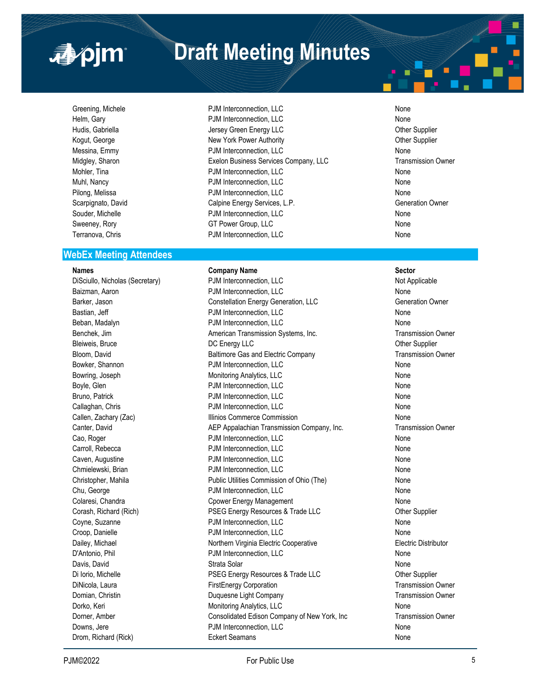■pim

#### **WebEx Meeting Attendees**

Greening, Michele **None 2008 PJM Interconnection, LLC** None 2009 **PJM** Interconnection, LLC Helm, Gary PJM Interconnection, LLC None Hudis, Gabriella **Green Communist Communist Communist Communist Communist Communist Communist Communist Communist Communist Communist Communist Communist Communist Communist Communist Communist Communist Communist Communis** Kogut, George **New York Power Authority New York Power Authority New York Power Authority Channel Supplier** Messina, Emmy **None 2008** 2008 2011 11: PJM Interconnection, LLC Midgley, Sharon **Exelon Business Services Company, LLC** Transmission Owner Mohler, Tina **None 2008** 2008 2011 11: PJM Interconnection, LLC Muhl, Nancy PJM Interconnection, LLC None Pilong, Melissa None None PJM Interconnection, LLC None None None Scarpignato, David Calpine Energy Services, L.P. Cappine Energy Services, L.P. Capping Capping Commercial Commercial Commercial Commercial Commercial Commercial Commercial Commercial Commercial Commercial Commercial Commer Souder, Michelle **No. 2018** 2018 2019 PJM Interconnection, LLC None Sweeney, Rory GT Power Group, LLC None Group, CLC None Terranova, Chris **None Christian Christian Christian PJM** Interconnection, LLC None

#### **Names Company Name Sector**

DiSciullo, Nicholas (Secretary) **PJM Interconnection, LLC** Not Applicable Baizman, Aaron **Network Communist Communist Communist PJM** Interconnection, LLC None Barker, Jason **Constellation Energy Generation, LLC** Generation Owner Bastian, Jeff **No. 2018 PJM Interconnection, LLC** None None Beban, Madalyn **PJM Interconnection, LLC** None Benchek, Jim **American Transmission Systems**, Inc. Transmission Owner Bleiweis, Bruce **DE Energy LLC CONFIDENT CONFIDENT** CONFIDENT CONFIDENT CONFIDENT CONFIDENTIAL OUTLINE OF DETAILS Bloom, David **Baltimore Gas and Electric Company Baltimore Gas and Electric Company** Transmission Owner Bowker, Shannon **Example 20 Terms** PJM Interconnection, LLC **None** Rome **None** Bowring, Joseph **Monitoring Analytics, LLC** and Monitoring Analytics, LLC Boyle, Glen **PJM Interconnection, LLC None PJM** Interconnection, LLC Bruno, Patrick **None Communist PJM Interconnection, LLC** None None Callaghan, Chris **Callaghan, Chris Callaghan, Chris Callaghan**, Chris None Callen, Zachary (Zac) **Illinios Commerce Commission** Illinios Commerce Commission None Canter, David **AEP Appalachian Transmission Company, Inc.** Transmission Owner Cao, Roger **PJM Interconnection, LLC** 2006 **PJM Interconnection**, LLC Carroll, Rebecca **PJM Interconnection, LLC** None Caven, Augustine PJM Interconnection, LLC None Chmielewski, Brian **No. 2008 PJM Interconnection, LLC** None Christopher, Mahila Public Utilities Commission of Ohio (The) None Chu, George **PJM Interconnection, LLC** None Colaresi, Chandra Cpower Energy Management None Corash, Richard (Rich) **PSEG Energy Resources & Trade LLC** Other Supplier Coyne, Suzanne **None Coyne, Suzanne** PJM Interconnection, LLC **None** None Croop, Danielle **None Croop, Calculate POM Interconnection**, LLC **None** None Dailey, Michael **Northern Virginia Electric Cooperative** Electric Distributor **Electric Distributor** D'Antonio, Phil PJM Interconnection, LLC None Davis, David Strata Solar None Di Iorio, Michelle **Channel PSEG Energy Resources & Trade LLC** Channel Other Supplier DiNicola, Laura **FirstEnergy Corporation** FirstEnergy Corporation Transmission Owner Domian, Christin **Duguesne Light Company Company** Transmission Owner Dorko, Keri **None analytics, LLC** None Monitoring Analytics, LLC Dorner, Amber **Consolidated Edison Company of New York, Inc** Transmission Owner Downs, Jere PJM Interconnection, LLC None Drom, Richard (Rick) Eckert Seamans None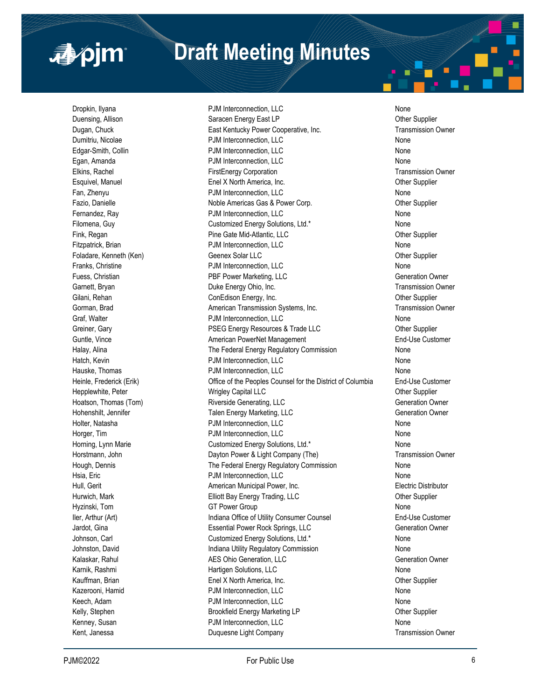

Dropkin, Ilyana None **PJM Interconnection, LLC** None **PJM Interconnection**, LLC Duensing, Allison **Saracen Energy East LP** Christopher Supplier Communication Supplier Dugan, Chuck **East Kentucky Power Cooperative, Inc.** Transmission Owner Dumitriu, Nicolae **No. 2018** PDM Interconnection, LLC None Edgar-Smith, Collin **None 2008** COLL POW Interconnection, LLC None 2009 Collin 2009 Egan, Amanda **PJM Interconnection, LLC** None Elkins, Rachel **FirstEnergy Corporation** FirstEnergy Corporation Transmission Owner Esquivel, Manuel Enel X North America, Inc. Other Supplier Fan, Zhenyu **PJM Interconnection, LLC** None Fazio, Danielle **Noble Americas Gas & Power Corp.** Comparison of the Supplier Fernandez, Ray **PJM Interconnection, LLC** None Filomena, Guy **Customized Energy Solutions, Ltd.\*** None Fink, Regan **Pine Gate Mid-Atlantic, LLC** Chronic Muslem Communic Muslem Communic Muslem Communic Communic Communic Fitzpatrick, Brian **PLA** Interconnection, LLC **None** None Foladare, Kenneth (Ken) **Geenex Solar LLC** Communication Communication Communication Communication Communication Communication Communication Communication Communication Communication Communication Communication Communicati Franks, Christine **None 2008 PDM Interconnection, LLC** None 2008 **None** Fuess, Christian **Fund Contract Contract PBF Power Marketing, LLC** Contract Contract Contract Generation Owner Garnett, Bryan **Example 20** Culve Energy Ohio, Inc. Transmission Owner Gilani, Rehan ConEdison Energy, Inc. Other Supplier Gorman, Brad American Transmission Systems, Inc. Transmission Owner Graf, Walter **No. 2018** Connection, LLC **CONNECTION** CONNECTION CONNECTION None Greiner, Gary **PSEG Energy Resources & Trade LLC** Other Supplier Guntle, Vince **American PowerNet Management** End-Use Customer End-Use Customer Halay, Alina **The Federal Energy Regulatory Commission** Commission None Hatch, Kevin **None 2008 PJM Interconnection, LLC None** 2008 **None** Hauske, Thomas PJM Interconnection, LLC None Heinle, Frederick (Erik) **Chice of the Peoples Counsel for the District of Columbia** End-Use Customer Hepplewhite, Peter **Example 2** Community Capital LLC **Community Capital COMETA** Community Capital COMETA COMETA COMETA Hoatson, Thomas (Tom) **Riverside Generating, LLC** Generation Owner Hohenshilt, Jennifer **Talen Energy Marketing, LLC** Generation Owner Holter, Natasha PJM Interconnection, LLC None Horger, Tim **None 2008** CHO POIN Interconnection, LLC **None 2008** CHO None Horning, Lynn Marie **Network:** Customized Energy Solutions, Ltd.\* None Horstmann, John **Dayton Power & Light Company (The)** Transmission Owner Hough, Dennis The Federal Energy Regulatory Commission None Hsia, Eric **None 2008 PJM Interconnection, LLC** None 2009 **PJM** Interconnection, LLC Hull, Gerit **American Municipal Power, Inc.** American Municipal Power, Inc. **Electric Distributor** Hurwich, Mark **Elliott Bay Energy Trading, LLC** Christian Mother Supplier Hyzinski, Tom None Group GT Power Group None None None None None Iler, Arthur (Art) Indiana Office of Utility Consumer Counsel End-Use Customer Jardot, Gina **Essential Power Rock Springs, LLC** Generation Owner Generation Owner Johnson, Carl Customized Energy Solutions, Ltd.\* None Johnston, David **Indiana Utility Regulatory Commission Indiana Utility Regulatory Commission** Kalaskar, Rahul **AES Ohio Generation, LLC** Character Controller Controller Controller Controller Controller Controller Karnik, Rashmi None None Chartigen Solutions, LLC None None None None None Kauffman, Brian **Enel X North America, Inc.** Channel Channel Cher Supplier Kazerooni, Hamid None Communication, Hamid PJM Interconnection, LLC None None None Keech, Adam **None Communist Communist Communist Communist Communist Communist Communist Communist Communist Communist Communist Communist Communist Communist Communist Communist Communist Communist Communist Communist Comm** Kelly, Stephen **Brookfield Energy Marketing LP** Character Supplier Kenney, Susan None None Communication, CLC None Communication, CLC Kent, Janessa **Duquesne Light Company Company Company** Transmission Owner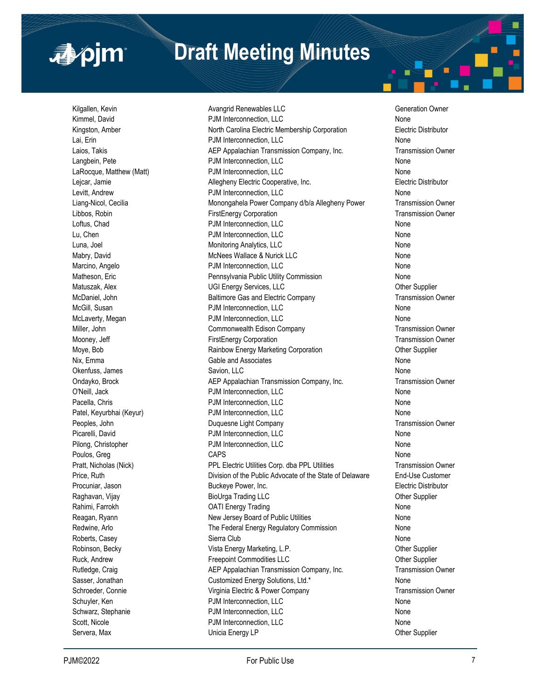

Kilgallen, Kevin **Avangrid Renewables LLC** Avangrid Renewables LLC **Contracts** Contracts Contract Generation Owner Kimmel, David **None Communist Communist PJM Interconnection**, LLC **None** None Kingston, Amber **North Carolina Electric Membership Corporation** Electric Distributor Lai, Erin PJM Interconnection, LLC None Laios, Takis **AEP Appalachian Transmission Company, Inc.** Transmission Owner Langbein, Pete **PJM Interconnection, LLC** None LaRocque, Matthew (Matt) **None** PJM Interconnection, LLC **None** None Lejcar, Jamie Allegheny Electric Cooperative, Inc. Electric Distributor Levitt, Andrew **None 2008 PUM Interconnection, LLC** None 2008 **PUM** Interconnection, LLC Liang-Nicol, Cecilia **Monongahela Power Company d/b/a Allegheny Power** Transmission Owner Libbos, Robin **FirstEnergy Corporation** FirstEnergy Corporation Transmission Owner Loftus, Chad **No. 2018 PJM Interconnection, LLC** None Lu, Chen PJM Interconnection, LLC None Luna, Joel Monitoring Analytics, LLC None Mabry, David **Mabry, Inc. Acknowledge American** McNees Wallace & Nurick LLC None Marcino, Angelo **None 2008** PJM Interconnection, LLC **None** Rome 2008 Matheson, Eric **Network** Pennsylvania Public Utility Commission None Matuszak, Alex **Disk and Alex Controller Supplier** UGI Energy Services, LLC **Controller Supplier** Other Supplier McDaniel, John **Baltimore Gas and Electric Company Baltimore Gas and Electric Company** Transmission Owner McGill, Susan **No. 2018 PJM Interconnection, LLC** None McLaverty, Megan None **PJM** Interconnection, LLC None None Miller, John Commonwealth Edison Company Transmission Owner Mooney, Jeff **FirstEnergy Corporation** FirstEnergy Corporation Transmission Owner Moye, Bob **Rainbow Energy Marketing Corporation** Cher Supplier Nix, Emma **Nixel and Associates** None in the None of None in the None of None in the None of None in the None of None Okenfuss, James **Savion, LLC** Savion, LLC None Ondayko, Brock AEP Appalachian Transmission Company, Inc. Transmission Owner O'Neill, Jack PJM Interconnection, LLC None Pacella, Chris **PJM Interconnection, LLC** None Patel, Keyurbhai (Keyur) **PJM Interconnection, LLC** None Peoples, John **Duquesne Light Company Company** Transmission Owner Picarelli, David None **PJM** Interconnection, LLC **None** None Pilong, Christopher **PJM** Interconnection, LLC **None** None Poulos, Greg **CAPS** None CAPS None CAPS None CAPS None CAPS None CAPS None CAPS None CAPS None CAPS None CAPS None CAPS None CAPS None CAPS None CAPS None CAPS None CAPS None CAPS None CAPS None CAPS None CAPS None CAPS No Pratt, Nicholas (Nick) **PPL Electric Utilities Corp. dba PPL Utilities** Corp. Transmission Owner Price, Ruth **Division of the Public Advocate of the State of Delaware** End-Use Customer Procuniar, Jason **Buckeye Power, Inc.** Procuriar, Jason Electric Distributor Raghavan, Vijay Chronic Chronic Chronic Bio Bio Urga Trading LLC Chronic Chronic Chronic Chronic Chronic Chronic Chronic Chronic Chronic Chronic Chronic Chronic Chronic Chronic Chronic Chronic Chronic Chronic Chronic Chron Rahimi, Farrokh **None Communist COATI Energy Trading None** None None None Reagan, Ryann New Jersey Board of Public Utilities None Redwine, Arlo **The Federal Energy Regulatory Commission** None Roberts, Casey **Sierra Club** Sierra Club **None** Robinson, Becky **Nite and American Contact Vista Energy Marketing, L.P.** Character Communisty Character Supplier Ruck, Andrew **Freepoint Commodities LLC** Commodities LLC Rutledge, Craig **AEP Appalachian Transmission Company, Inc.** Transmission Owner Sasser, Jonathan **Customized Energy Solutions, Ltd.\*** None Schroeder, Connie **Schroeder, Connie** Virginia Electric & Power Company Transmission Owner Schuyler, Ken **PJM Interconnection, LLC** and PJM Interconnection, LLC Schwarz, Stephanie **All PDM Interconnection, LLC** None Scott, Nicole **PJM Interconnection, LLC** None Servera, Max **Other Supplier** Unicia Energy LP **CHALL COMET Supplier** COMET Supplier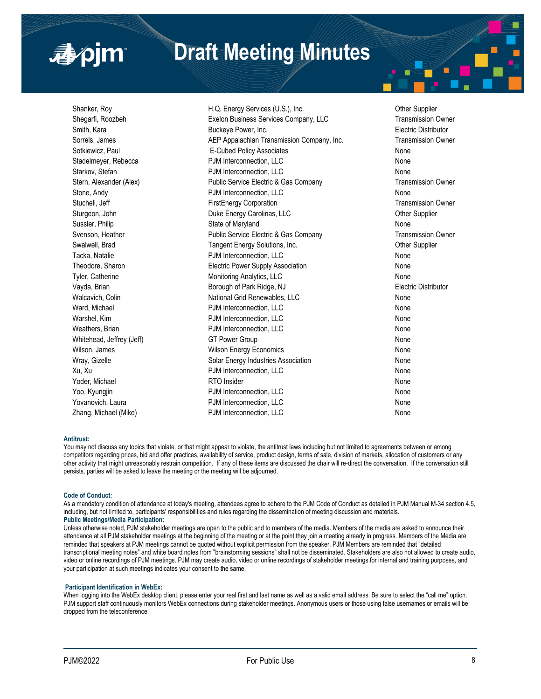

Shanker, Roy **Shanker, Roy Communist Communist Communist Communist Communist Communist Communist Communist Communist Communist Communist Communist Communist Communist Communist Communist Communist Communist Communist Commu** Shegarfi, Roozbeh **Exelon Business Services Company, LLC** Transmission Owner Smith, Kara **Buckeye Power, Inc. Buckeye Power, Inc. Electric Distributor Electric Distributor** Sorrels, James **AEP Appalachian Transmission Company, Inc.** Transmission Owner Sotkiewicz, Paul E-Cubed Policy Associates None Stadelmeyer, Rebecca **PJM Interconnection, LLC** None Starkov, Stefan **PJM Interconnection, LLC** None Stern, Alexander (Alex) Public Service Electric & Gas Company Transmission Owner Stone, Andy **None Community Community** PJM Interconnection, LLC None None None Stuchell, Jeff **FirstEnergy Corporation** FirstEnergy Corporation Transmission Owner Sturgeon, John **Duke Energy Carolinas, LLC** Christen Cupplier Christen Bupplier Sussler, Philip None State of Maryland None State of Maryland None None None Svenson, Heather **Public Service Electric & Gas Company** Transmission Owner Swalwell, Brad **Tangent Energy Solutions, Inc.** Christene and Christene Bupplier Tacka, Natalie **No. 2018 PDM Interconnection, LLC** None None None Theodore, Sharon **Electric Power Supply Association** None Tyler, Catherine **Monitoring Analytics, LLC** None Vayda, Brian Borough of Park Ridge, NJ Charles Because Charles Electric Distributor Walcavich, Colin **National Grid Renewables, LLC** None Ward, Michael **None Communist Communist PJM Interconnection**, LLC None None Warshel, Kim **None 2008 PJM Interconnection, LLC** None 2009 **PJM** Interconnection, LLC Weathers, Brian None Communication, Communication, CCC None None Whitehead, Jeffrey (Jeff) GT Power Group COME COME CONSIDERING None Wilson, James None North Wilson Energy Economics North None None None Wray, Gizelle Solar Energy Industries Association None None Xu, Xu PJM Interconnection, LLC None Yoder, Michael None None None RTO Insider November 2012 1999 None Yoo, Kyungjin **None Communist Communist PJM** Interconnection, LLC None Communist Communist Communist Communist Communist Communist Communist Communist Communist Communist Communist Communist Communist Communist Communist C Yovanovich, Laura **None 2008** 2009 PJM Interconnection, LLC None 2009 2009 None Zhang, Michael (Mike) **PJM Interconnection, LLC** None

#### **Antitrust:**

You may not discuss any topics that violate, or that might appear to violate, the antitrust laws including but not limited to agreements between or among competitors regarding prices, bid and offer practices, availability of service, product design, terms of sale, division of markets, allocation of customers or any other activity that might unreasonably restrain competition. If any of these items are discussed the chair will re-direct the conversation. If the conversation still persists, parties will be asked to leave the meeting or the meeting will be adjourned.

#### **Code of Conduct:**

As a mandatory condition of attendance at today's meeting, attendees agree to adhere to the PJM Code of Conduct as detailed in PJM Manual M-34 section 4.5, including, but not limited to, participants' responsibilities and rules regarding the dissemination of meeting discussion and materials. **Public Meetings/Media Participation:** 

Unless otherwise noted, PJM stakeholder meetings are open to the public and to members of the media. Members of the media are asked to announce their attendance at all PJM stakeholder meetings at the beginning of the meeting or at the point they join a meeting already in progress. Members of the Media are reminded that speakers at PJM meetings cannot be quoted without explicit permission from the speaker. PJM Members are reminded that "detailed transcriptional meeting notes" and white board notes from "brainstorming sessions" shall not be disseminated. Stakeholders are also not allowed to create audio, video or online recordings of PJM meetings. PJM may create audio, video or online recordings of stakeholder meetings for internal and training purposes, and your participation at such meetings indicates your consent to the same.

#### **Participant Identification in WebEx:**

When logging into the WebEx desktop client, please enter your real first and last name as well as a valid email address. Be sure to select the "call me" option. PJM support staff continuously monitors WebEx connections during stakeholder meetings. Anonymous users or those using false usernames or emails will be dropped from the teleconference.